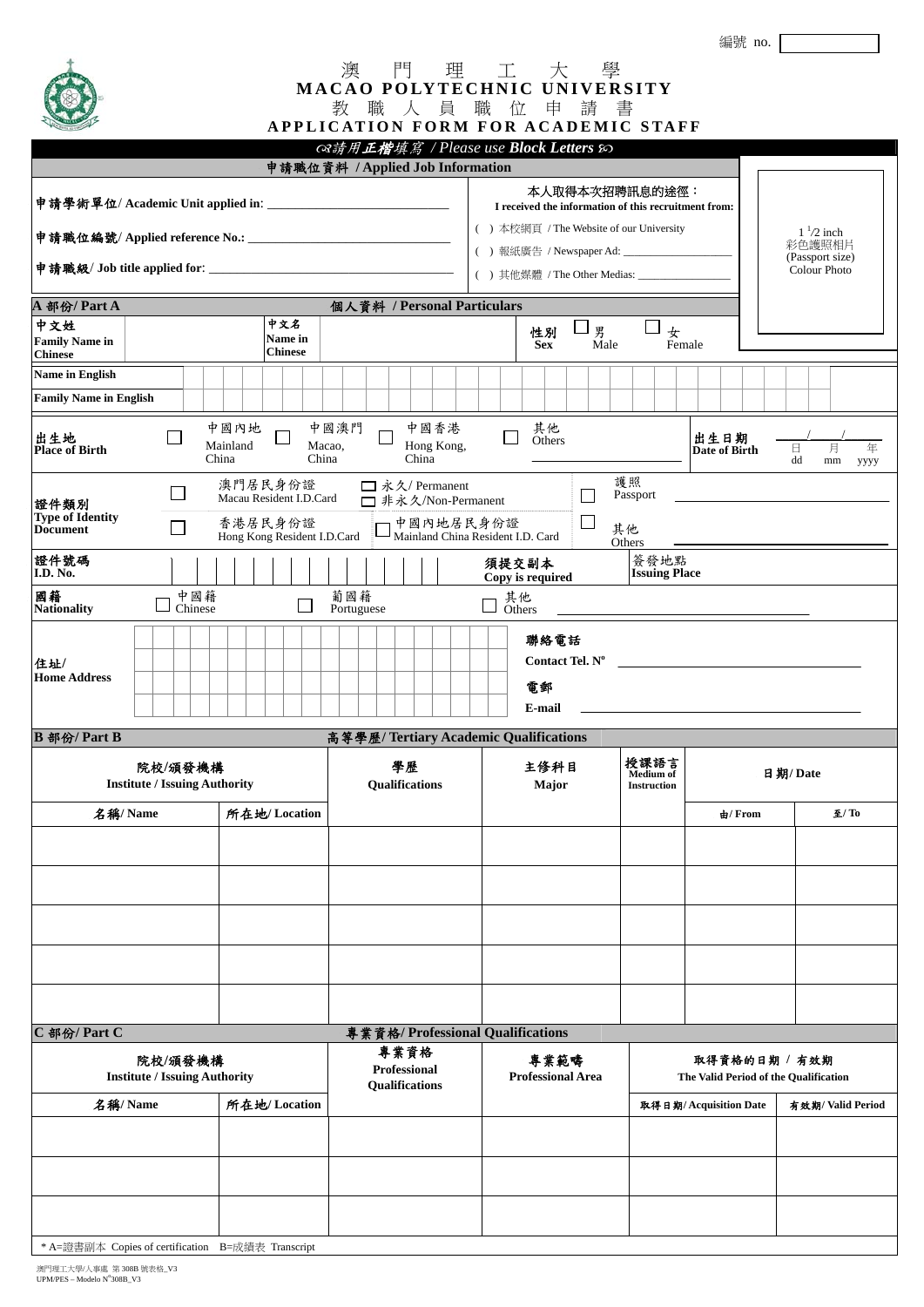編號 no.

|  | <b>MACAO POLYTECHNIC UNIVERSITY</b> |  |  |  |  |
|--|-------------------------------------|--|--|--|--|
|  |                                     |  |  |  |  |

| <b>CARL AND THE ROOM AND INCOME.</b>                                            |                                                                                         |                           | <b>APPLICATION FORM FOR ACADEMIC STAFF</b>                                   |                                               |  |                                                                                          |                                                                                                                                                                                                           |                                                        |                           |                         |                                                |                                |                                                                  |                       |  |         |                      |
|---------------------------------------------------------------------------------|-----------------------------------------------------------------------------------------|---------------------------|------------------------------------------------------------------------------|-----------------------------------------------|--|------------------------------------------------------------------------------------------|-----------------------------------------------------------------------------------------------------------------------------------------------------------------------------------------------------------|--------------------------------------------------------|---------------------------|-------------------------|------------------------------------------------|--------------------------------|------------------------------------------------------------------|-----------------------|--|---------|----------------------|
|                                                                                 |                                                                                         |                           |                                                                              | ෬゚請用正楷填寫 / Please use Block Letters &         |  |                                                                                          |                                                                                                                                                                                                           |                                                        |                           |                         |                                                |                                |                                                                  |                       |  |         |                      |
| 申請職位資料 / Applied Job Information<br>A 部份/ Part A<br>個人資料 / Personal Particulars |                                                                                         |                           |                                                                              |                                               |  |                                                                                          | 本人取得本次招聘訊息的途徑:<br>I received the information of this recruitment from:<br>() 本校網頁 / The Website of our University<br>() 報紙廣告 / Newspaper Ad: _________________<br>() 其他媒體 / The Other Medias: ___________ |                                                        |                           |                         |                                                |                                | $1\frac{1}{2}$ inch<br>彩色護照相片<br>(Passport size)<br>Colour Photo |                       |  |         |                      |
| 中文姓<br><b>Family Name in</b><br><b>Chinese</b>                                  | 中文名<br>男<br>女<br>性別<br><b>Name in</b><br>Female<br><b>Sex</b><br>Male<br><b>Chinese</b> |                           |                                                                              |                                               |  |                                                                                          |                                                                                                                                                                                                           |                                                        |                           |                         |                                                |                                |                                                                  |                       |  |         |                      |
| <b>Name in English</b><br><b>Family Name in English</b>                         |                                                                                         |                           |                                                                              |                                               |  |                                                                                          |                                                                                                                                                                                                           |                                                        |                           |                         |                                                |                                |                                                                  |                       |  |         |                      |
| 出生地<br>Place of Birth                                                           |                                                                                         | 中國內地<br>Mainland<br>China | Macao,<br>China                                                              | 中國澳門                                          |  | 中國香港<br>Hong Kong,<br>China                                                              |                                                                                                                                                                                                           |                                                        | 其他<br>Others              |                         |                                                |                                |                                                                  | 出生日期<br>Date of Birth |  | 日<br>dd | 月<br>年<br>mm<br>уууу |
| 證件類別<br><b>Type of Identity</b><br><b>Document</b><br>證件號碼<br>I.D. No.<br>國籍    | $\mathsf{L}$<br>中國籍                                                                     |                           | 澳門居民身份證<br>Macau Resident I.D.Card<br>香港居民身份證<br>Hong Kong Resident I.D.Card | 葡國籍                                           |  | □ 永久/ Permanent<br>□ 非永久/Non-Permanent<br>中國內地居民身份證<br>Mainland China Resident I.D. Card |                                                                                                                                                                                                           |                                                        | 須提交副本<br>Copy is required | L<br>$\Box$             |                                                | 護照<br>Passport<br>其他<br>Others | 簽發地點<br><b>Issuing Place</b>                                     |                       |  |         |                      |
| <b>Nationality</b>                                                              | Chinese                                                                                 |                           |                                                                              | Portuguese                                    |  |                                                                                          |                                                                                                                                                                                                           | $\mathcal{L}$                                          | 其他<br>Others              |                         |                                                |                                |                                                                  |                       |  |         |                      |
| 住址/<br><b>Home Address</b>                                                      |                                                                                         |                           |                                                                              |                                               |  |                                                                                          |                                                                                                                                                                                                           |                                                        | 電郵<br>E-mail              | 聯絡電話<br>Contact Tel. Nº |                                                |                                |                                                                  |                       |  |         |                      |
| B 部份/ Part B                                                                    |                                                                                         |                           |                                                                              | 高等學歷/ Tertiary Academic Qualifications        |  |                                                                                          |                                                                                                                                                                                                           |                                                        |                           |                         |                                                |                                |                                                                  |                       |  |         |                      |
| 院校/頒發機構<br><b>Institute / Issuing Authority</b>                                 |                                                                                         |                           |                                                                              | 學歷<br><b>Qualifications</b>                   |  |                                                                                          | 主修科目<br>Major                                                                                                                                                                                             |                                                        |                           |                         | 授課語言<br><b>Medium</b> of<br><b>Instruction</b> |                                |                                                                  | 日期/Date               |  |         |                      |
|                                                                                 | 名稱/ Name                                                                                |                           | 所在地/Location                                                                 |                                               |  |                                                                                          |                                                                                                                                                                                                           |                                                        |                           |                         |                                                |                                |                                                                  | $\pm$ /From           |  |         | 至/ To                |
|                                                                                 |                                                                                         |                           |                                                                              |                                               |  |                                                                                          |                                                                                                                                                                                                           |                                                        |                           |                         |                                                |                                |                                                                  |                       |  |         |                      |
|                                                                                 |                                                                                         |                           |                                                                              |                                               |  |                                                                                          |                                                                                                                                                                                                           |                                                        |                           |                         |                                                |                                |                                                                  |                       |  |         |                      |
| C 部份/ Part C                                                                    |                                                                                         |                           |                                                                              |                                               |  | 專業資格/ Professional Qualifications                                                        |                                                                                                                                                                                                           |                                                        |                           |                         |                                                |                                |                                                                  |                       |  |         |                      |
| 院校/頒發機構<br><b>Institute / Issuing Authority</b>                                 |                                                                                         |                           |                                                                              | 專業資格<br>Professional<br><b>Qualifications</b> |  | 專業範疇<br><b>Professional Area</b>                                                         |                                                                                                                                                                                                           | 取得資格的日期 / 有效期<br>The Valid Period of the Qualification |                           |                         |                                                |                                |                                                                  |                       |  |         |                      |
| 名稱/Name<br>所在地/Location                                                         |                                                                                         |                           |                                                                              |                                               |  | 取得日期/Acquisition Date                                                                    |                                                                                                                                                                                                           |                                                        |                           | 有效期/ Valid Period       |                                                |                                |                                                                  |                       |  |         |                      |
|                                                                                 |                                                                                         |                           |                                                                              |                                               |  |                                                                                          |                                                                                                                                                                                                           |                                                        |                           |                         |                                                |                                |                                                                  |                       |  |         |                      |
|                                                                                 |                                                                                         |                           |                                                                              |                                               |  |                                                                                          |                                                                                                                                                                                                           |                                                        |                           |                         |                                                |                                |                                                                  |                       |  |         |                      |
|                                                                                 | * A=證書副本 Copies of certification B=成績表 Transcript                                       |                           |                                                                              |                                               |  |                                                                                          |                                                                                                                                                                                                           |                                                        |                           |                         |                                                |                                |                                                                  |                       |  |         |                      |

\* A=證書副本 Copies of certification B=成績表 Transcript